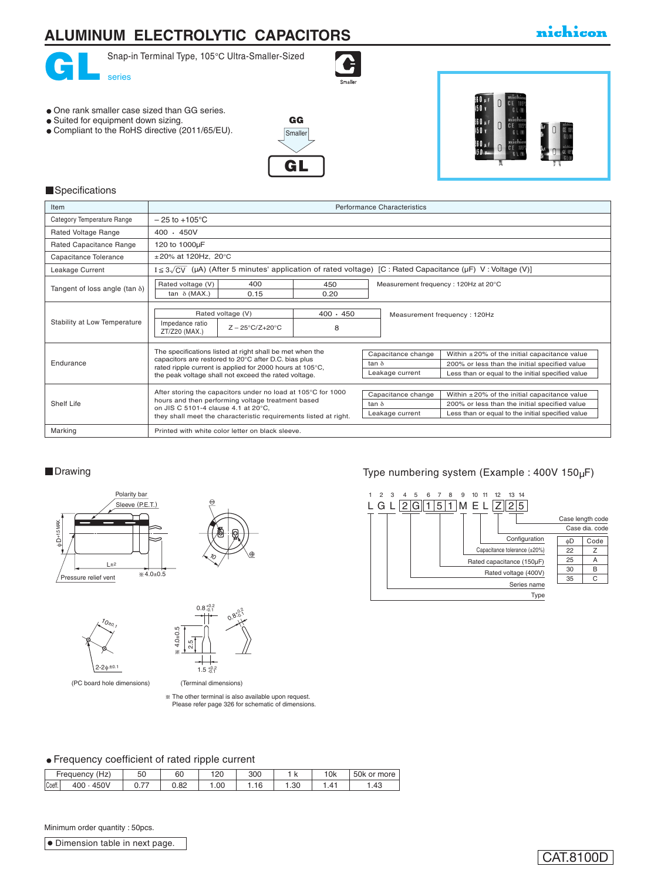# **ALUMINUM ELECTROLYTIC CAPACITORS**



Snap-in Terminal Type, 105°C Ultra-Smaller-Sized

- One rank smaller case sized than GG series.
- Suited for equipment down sizing.
- Compliant to the RoHS directive (2011/65/EU).





#### **Specifications**

| Item                                  | Performance Characteristics                                                                                                                                                                                                          |                                                                                                                                                                                                                   |  |  |  |  |
|---------------------------------------|--------------------------------------------------------------------------------------------------------------------------------------------------------------------------------------------------------------------------------------|-------------------------------------------------------------------------------------------------------------------------------------------------------------------------------------------------------------------|--|--|--|--|
| Category Temperature Range            | $-25$ to $+105^{\circ}$ C                                                                                                                                                                                                            |                                                                                                                                                                                                                   |  |  |  |  |
| Rated Voltage Range                   | $400 \cdot 450V$                                                                                                                                                                                                                     |                                                                                                                                                                                                                   |  |  |  |  |
| Rated Capacitance Range               | 120 to 1000µF                                                                                                                                                                                                                        |                                                                                                                                                                                                                   |  |  |  |  |
| Capacitance Tolerance                 | $\pm 20\%$ at 120Hz, 20°C                                                                                                                                                                                                            |                                                                                                                                                                                                                   |  |  |  |  |
| Leakage Current                       | $I \leq 3\sqrt{CV}$ ( $\mu$ A) (After 5 minutes' application of rated voltage) [C : Rated Capacitance ( $\mu$ F) V : Voltage (V)]                                                                                                    |                                                                                                                                                                                                                   |  |  |  |  |
| Tangent of loss angle (tan $\delta$ ) | Rated voltage (V)<br>400<br>450<br>Measurement frequency: 120Hz at 20°C<br>tan $\delta$ (MAX.)<br>0.20<br>0.15                                                                                                                       |                                                                                                                                                                                                                   |  |  |  |  |
| Stability at Low Temperature          | Rated voltage (V)<br>$400 \cdot 450$<br>Impedance ratio<br>8<br>$Z - 25^{\circ}C/Z + 20^{\circ}C$<br>ZT/Z20 (MAX.)                                                                                                                   | Measurement frequency: 120Hz                                                                                                                                                                                      |  |  |  |  |
| Endurance                             | The specifications listed at right shall be met when the<br>capacitors are restored to 20°C after D.C. bias plus<br>rated ripple current is applied for 2000 hours at 105°C,<br>the peak voltage shall not exceed the rated voltage. | Capacitance change<br>Within $\pm 20\%$ of the initial capacitance value<br>200% or less than the initial specified value<br>tan $\delta$<br>Leakage current<br>Less than or equal to the initial specified value |  |  |  |  |
| Shelf Life                            | After storing the capacitors under no load at 105°C for 1000<br>hours and then performing voltage treatment based<br>on JIS C 5101-4 clause 4.1 at 20°C.<br>they shall meet the characteristic requirements listed at right.         | Capacitance change<br>Within $\pm 20\%$ of the initial capacitance value<br>200% or less than the initial specified value<br>tan $\delta$<br>Less than or equal to the initial specified value<br>Leakage current |  |  |  |  |
| Marking                               | Printed with white color letter on black sleeve.                                                                                                                                                                                     |                                                                                                                                                                                                                   |  |  |  |  |

#### **Drawing**







(PC board hole dimensions) (PC board hole dimensions)

 $^{\prime}$ <sub>0 $*$ 0</sub>

 $\zeta^{\prime}$ 02

The other terminal is also available upon request. Please refer page 326 for schematic of dimensions. The other terminal is also available upon request. Please refer page 263 for schematic of dimensions.

 $*^{0.2}_{2.2}$ دة.

#### Frequency coefficient of rated ripple current

|        | $+ -$<br>Frequency<br>пz. | 50 | 6С              | חר ו<br>∣∠∪ | 300    |       | 0k | 50k or more |
|--------|---------------------------|----|-----------------|-------------|--------|-------|----|-------------|
| Coeff. | 450V<br>400               | -- | $\circ$<br>∪.o∠ | .00         | . . 16 | . .30 |    | . 43        |

(Terminal dimensions) (Terminal dimensions)

Minimum order quantity : 50pcs.

**O** Dimension table in next page.

### Type numbering system (Example : 400V 150µF)